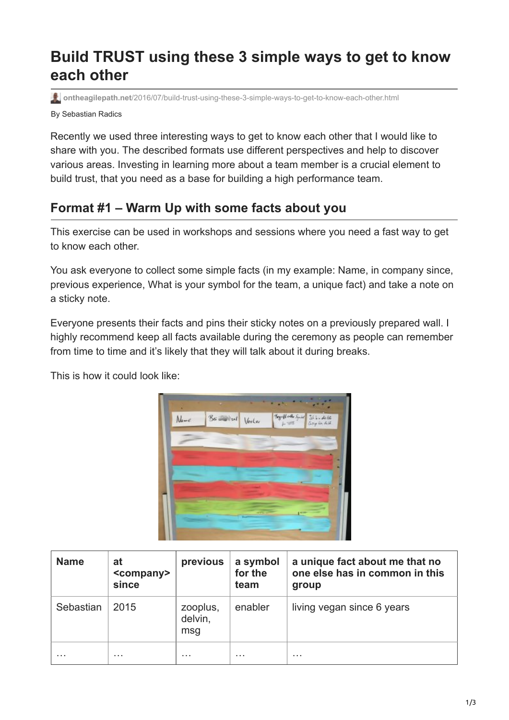## **Build TRUST using these 3 simple ways to get to know each other**

**ontheagilepath.net**[/2016/07/build-trust-using-these-3-simple-ways-to-get-to-know-each-other.html](https://www.ontheagilepath.net/2016/07/build-trust-using-these-3-simple-ways-to-get-to-know-each-other.html)

By Sebastian Radics

Recently we used three interesting ways to get to know each other that I would like to share with you. The described formats use different perspectives and help to discover various areas. Investing in learning more about a team member is a crucial element to build trust, that you need as a base for building a high performance team.

## **Format #1 – Warm Up with some facts about you**

This exercise can be used in workshops and sessions where you need a fast way to get to know each other.

You ask everyone to collect some simple facts (in my example: Name, in company since, previous experience, What is your symbol for the team, a unique fact) and take a note on a sticky note.

Everyone presents their facts and pins their sticky notes on a previously prepared wall. I highly recommend keep all facts available during the ceremony as people can remember from time to time and it's likely that they will talk about it during breaks.

This is how it could look like:



| <b>Name</b> | at<br><company><br/>since</company> | previous                   | a symbol<br>for the<br>team | a unique fact about me that no<br>one else has in common in this<br>group |
|-------------|-------------------------------------|----------------------------|-----------------------------|---------------------------------------------------------------------------|
| Sebastian   | 2015                                | zooplus,<br>delvin,<br>msg | enabler                     | living vegan since 6 years                                                |
| .           | .                                   | .                          | .                           | .                                                                         |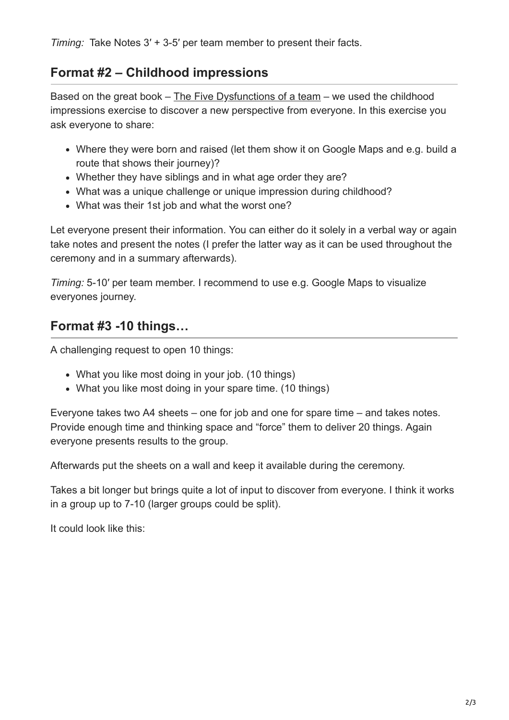*Timing:* Take Notes 3′ + 3-5′ per team member to present their facts.

## **Format #2 – Childhood impressions**

Based on the great book  $-$  [The Five Dysfunctions of a team](https://en.wikipedia.org/wiki/The_Five_Dysfunctions_of_a_Team)  $-$  we used the childhood impressions exercise to discover a new perspective from everyone. In this exercise you ask everyone to share:

- Where they were born and raised (let them show it on Google Maps and e.g. build a route that shows their journey)?
- Whether they have siblings and in what age order they are?
- What was a unique challenge or unique impression during childhood?
- What was their 1st job and what the worst one?

Let everyone present their information. You can either do it solely in a verbal way or again take notes and present the notes (I prefer the latter way as it can be used throughout the ceremony and in a summary afterwards).

*Timing:* 5-10′ per team member. I recommend to use e.g. Google Maps to visualize everyones journey.

## **Format #3 -10 things…**

A challenging request to open 10 things:

- What you like most doing in your job. (10 things)
- What you like most doing in your spare time. (10 things)

Everyone takes two A4 sheets – one for job and one for spare time – and takes notes. Provide enough time and thinking space and "force" them to deliver 20 things. Again everyone presents results to the group.

Afterwards put the sheets on a wall and keep it available during the ceremony.

Takes a bit longer but brings quite a lot of input to discover from everyone. I think it works in a group up to 7-10 (larger groups could be split).

It could look like this: